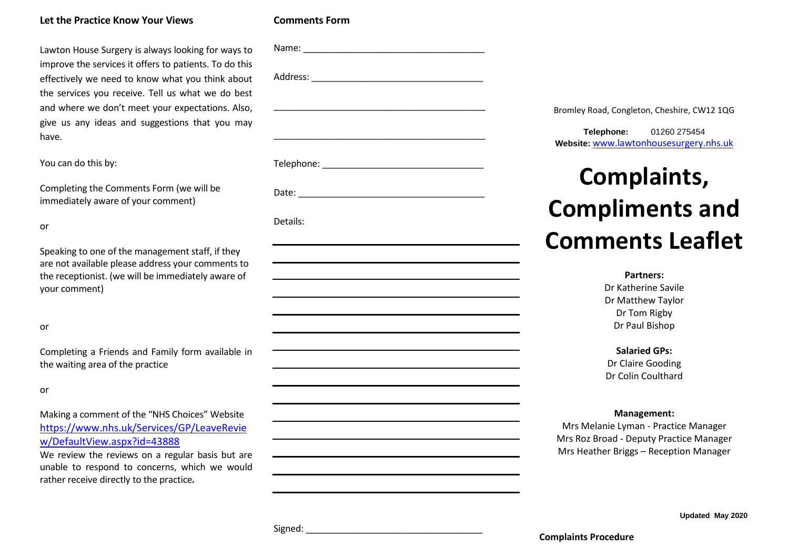# **Let the Practice Know Your Views**

Lawton House Surgery is always looking for ways to improve the services it offers to patients. To do this effectively we need to know what you think about the services you receive. Tell us what we do best and where we don't meet your expectations. Also, give us any ideas and suggestions that you may have.

You can do this by:

Completing the Comments Form (we will be immediately aware of your comment)

or

Speaking to one of the management staff, if they are not available please address your comments to the receptionist. (we will be immediately aware of your comment)

or

Completing a Friends and Family form available in the waiting area of the practice

or

Making a comment of the "NHS Choices" Website [https://www.nhs.uk/Services/GP/LeaveRevie](https://www.nhs.uk/Services/GP/LeaveReview/DefaultView.aspx?id=43888) [w/DefaultView.aspx?id=43888](https://www.nhs.uk/Services/GP/LeaveReview/DefaultView.aspx?id=43888)

We review the reviews on a regular basis but are unable to respond to concerns, which we would rather receive directly to the practice*.*

| Name:                |  |  |  |
|----------------------|--|--|--|
| $\sim$ $\sim$ $\sim$ |  |  |  |

**Comments Form**

Address: \_\_\_\_\_\_\_\_\_\_\_\_\_\_\_\_\_\_\_\_\_\_\_\_\_\_\_\_\_\_\_\_\_\_  $\mathcal{L}_\mathcal{L} = \mathcal{L}_\mathcal{L} = \mathcal{L}_\mathcal{L} = \mathcal{L}_\mathcal{L} = \mathcal{L}_\mathcal{L} = \mathcal{L}_\mathcal{L} = \mathcal{L}_\mathcal{L} = \mathcal{L}_\mathcal{L} = \mathcal{L}_\mathcal{L} = \mathcal{L}_\mathcal{L} = \mathcal{L}_\mathcal{L} = \mathcal{L}_\mathcal{L} = \mathcal{L}_\mathcal{L} = \mathcal{L}_\mathcal{L} = \mathcal{L}_\mathcal{L} = \mathcal{L}_\mathcal{L} = \mathcal{L}_\mathcal{L}$ \_\_\_\_\_\_\_\_\_\_\_\_\_\_\_\_\_\_\_\_\_\_\_\_\_\_\_\_\_\_\_\_\_\_\_\_\_\_\_\_\_\_ Telephone: \_\_\_\_\_\_\_\_\_\_\_\_\_\_\_\_\_\_\_\_\_\_\_\_\_\_\_\_\_\_\_\_ Date: \_\_\_\_\_\_\_\_\_\_\_\_\_\_\_\_\_\_\_\_\_\_\_\_\_\_\_\_\_\_\_\_\_\_\_\_\_

Details:

Bromley Road, Congleton, Cheshire, CW12 1QG

**Telephone:** 01260 275454 **Website:** www.lawtonhousesurgery.nhs.uk

# **Complaints, Compliments and Comments Leaflet**

**Partners:** Dr Katherine Savile Dr Matthew Taylor Dr Tom Rigby Dr Paul Bishop

**Salaried GPs:** Dr Claire Gooding Dr Colin Coulthard

# **Management:**

Mrs Melanie Lyman - Practice Manager Mrs Roz Broad - Deputy Practice Manager Mrs Heather Briggs – Reception Manager

**Updated May 2020**